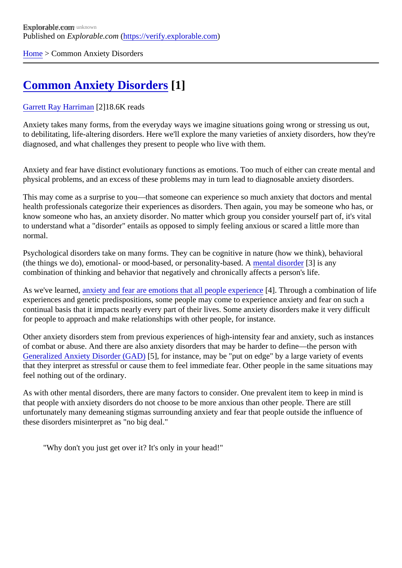[Home](https://verify.explorable.com/) > Common Anxiety Disorders

## [Common Anxiety Disorders](https://verify.explorable.com/e/common-anxiety-disorders)[1]

## [Garrett Ray Harrima](https://verify.explorable.com/users/grharriman)<sup>[2]</sup>18.6K reads

Anxiety takes many forms, from the everyday ways we imagine situations going wrong or stressing us out, to debilitating, life-altering disorders. Here we'll explore the many varieties of anxiety disorders, how they'r diagnosed, and what challenges they present to people who live with them.

Anxiety and fear have distinct evolutionary functions as emotions. Too much of either can create mental a physical problems, and an excess of these problems may in turn lead to diagnosable anxiety disorders.

This may come as a surprise to you—that someone can experience so much anxiety that doctors and ment health professionals categorize their experiences as disorders. Then again, you may be someone who hat know someone who has, an anxiety disorder. No matter which group you consider yourself part of, it's vital to understand what a "disorder" entails as opposed to simply feeling anxious or scared a little more than normal.

Psychological disorders take on many forms. They can be cognitive in nature (how we think), behavioral (the things we do), emotional- or mood-based, or personality-based nutser disorder<sup>[3]</sup> is any combination of thinking and behavior that negatively and chronically affects a person's life.

As we've learne[d, anxiety and fear are emotions that all people exper](https://explorable.com/fear-anxiety-the-brain-physiology)ience Through a combination of life experiences and genetic predispositions, some people may come to experience anxiety and fear on such continual basis that it impacts nearly every part of their lives. Some anxiety disorders make it very difficult for people to approach and make relationships with other people, for instance.

Other anxiety disorders stem from previous experiences of high-intensity fear and anxiety, such as instand of combat or abuse. And there are also anxiety disorders that may be harder to define—the person with [Generalized Anxiety Disorder \(GAD](https://explorable.com/general-anxiety-disorder-gad)5), for instance, may be "put on edge" by a large variety of events that they interpret as stressful or cause them to feel immediate fear. Other people in the same situations no feel nothing out of the ordinary.

As with other mental disorders, there are many factors to consider. One prevalent item to keep in mind is that people with anxiety disorders do not choose to be more anxious than other people. There are still unfortunately many demeaning stigmas surrounding anxiety and fear that people outside the influence of these disorders misinterpret as "no big deal."

"Why don't you just get over it? It's only in your head!"